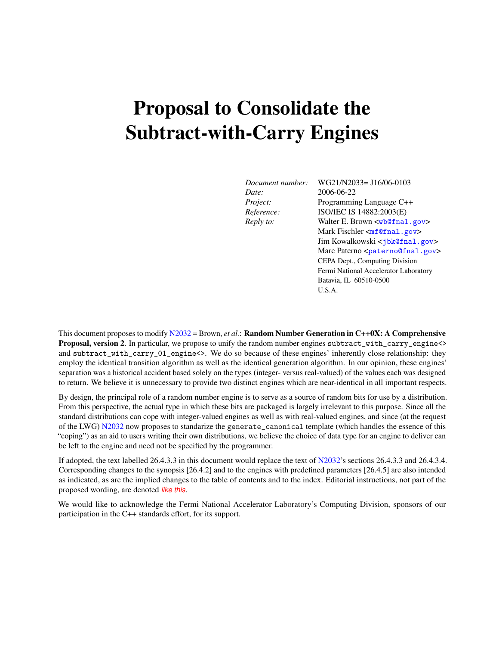# Proposal to Consolidate the Subtract-with-Carry Engines

*Date:* 2006-06-22

*Document number:* WG21/N2033= J16/06-0103 *Project:* Programming Language C++ *Reference:* ISO/IEC IS 14882:2003(E) *Reply to:* Walter E. Brown  $\langle \text{wblend}, \text{gov} \rangle$ Mark Fischler <[mf@fnal.gov](mailto:mf@fnal.gov)> Jim Kowalkowski <[jbk@fnal.gov](mailto:jbk@fnal.gov)> Marc Paterno <[paterno@fnal.gov](mailto:paterno@fnal.gov)> CEPA Dept., Computing Division Fermi National Accelerator Laboratory Batavia, IL 60510-0500 U.S.A.

This document proposes to modify [N2032](http://www.open-std.org/jtc1/sc22/wg21/docs/papers/2006/n2032.pdf) = Brown, *et al.*: Random Number Generation in C++0X: A Comprehensive Proposal, version 2. In particular, we propose to unify the random number engines subtract\_with\_carry\_engine<> and subtract\_with\_carry\_01\_engine<>. We do so because of these engines' inherently close relationship: they employ the identical transition algorithm as well as the identical generation algorithm. In our opinion, these engines' separation was a historical accident based solely on the types (integer- versus real-valued) of the values each was designed to return. We believe it is unnecessary to provide two distinct engines which are near-identical in all important respects.

By design, the principal role of a random number engine is to serve as a source of random bits for use by a distribution. From this perspective, the actual type in which these bits are packaged is largely irrelevant to this purpose. Since all the standard distributions can cope with integer-valued engines as well as with real-valued engines, and since (at the request of the LWG) [N2032](http://www.open-std.org/jtc1/sc22/wg21/docs/papers/2006/n2032.pdf) now proposes to standarize the generate\_canonical template (which handles the essence of this "coping") as an aid to users writing their own distributions, we believe the choice of data type for an engine to deliver can be left to the engine and need not be specified by the programmer.

If adopted, the text labelled 26.4.3.3 in this document would replace the text of  $N2032$ 's sections 26.4.3.3 and 26.4.3.4. Corresponding changes to the synopsis [26.4.2] and to the engines with predefined parameters [26.4.5] are also intended as indicated, as are the implied changes to the table of contents and to the index. Editorial instructions, not part of the proposed wording, are denoted *like this*.

We would like to acknowledge the Fermi National Accelerator Laboratory's Computing Division, sponsors of our participation in the C++ standards effort, for its support.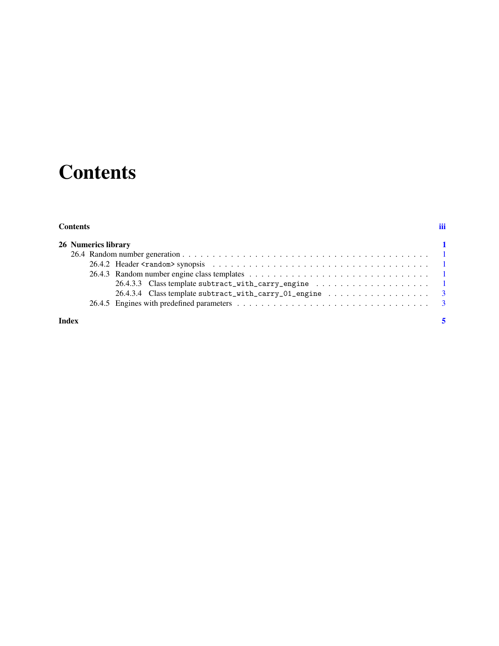# **Contents**

#### <span id="page-2-0"></span>**Contents** [iii](#page-2-0)

| 26 Numerics library |                                                                                       |
|---------------------|---------------------------------------------------------------------------------------|
|                     |                                                                                       |
|                     |                                                                                       |
|                     |                                                                                       |
|                     |                                                                                       |
|                     | 26.4.3.4 Class template subtract_with_carry_01_engine $\dots \dots \dots \dots \dots$ |
|                     |                                                                                       |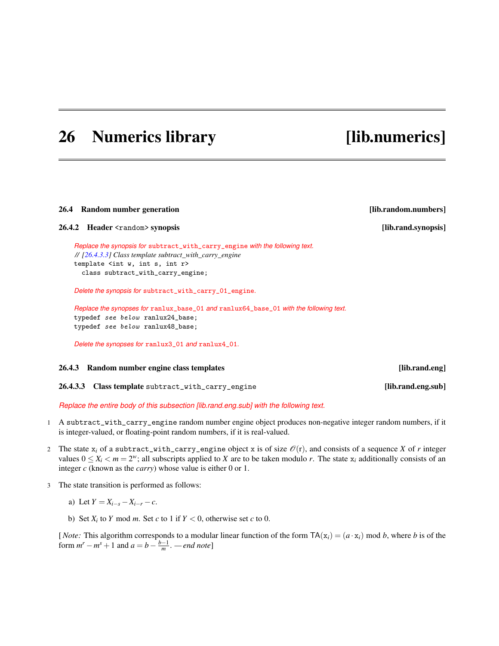### <span id="page-4-5"></span><span id="page-4-0"></span>26 Numerics library [lib.numerics]

#### <span id="page-4-1"></span>26.4 Random number generation **and the contract of the contract of the contract of the contract of the contract of the contract of the contract of the contract of the contract of the contract of the contract of the contrac**

<span id="page-4-2"></span>26.4.2 Header <random> synopsis [lib.rand.synopsis]

*Replace the synopsis for* subtract\_with\_carry\_engine *with the following text. // [\[26.4.3.3\]](#page-4-4) Class template subtract\_with\_carry\_engine* template <int w, int s, int r> class subtract\_with\_carry\_engine;

*Delete the synopsis for* subtract\_with\_carry\_01\_engine*.*

*Replace the synopses for* ranlux\_base\_01 *and* ranlux64\_base\_01 *with the following text.* typedef see below ranlux24\_base; typedef see below ranlux48\_base;

*Delete the synopses for* ranlux3\_01 *and* ranlux4\_01*.*

#### <span id="page-4-3"></span>26.4.3 Random number engine class templates [lib.rand.eng]

<span id="page-4-4"></span>26.4.3.3 Class template subtract\_with\_carry\_engine [lib.rand.eng.sub]

*Replace the entire body of this subsection [lib.rand.eng.sub] with the following text.*

- 1 A subtract\_with\_carry\_engine random number engine object produces non-negative integer random numbers, if it is integer-valued, or floating-point random numbers, if it is real-valued.
- 2 The state  $x_i$  of a subtract\_with\_carry\_engine object x is of size  $\mathcal{O}(r)$ , and consists of a sequence *X* of *r* integer values  $0 \le X_i < m = 2^w$ ; all subscripts applied to *X* are to be taken modulo *r*. The state  $x_i$  additionally consists of an integer *c* (known as the *carry*) whose value is either 0 or 1.
- 3 The state transition is performed as follows:
	- a) Let  $Y = X_{i-s} X_{i-r} c$ .
	- b) Set  $X_i$  to  $Y$  mod  $m$ . Set  $c$  to 1 if  $Y < 0$ , otherwise set  $c$  to 0.

[*Note:* This algorithm corresponds to a modular linear function of the form  $TA(x_i) = (a \cdot x_i) \text{ mod } b$ , where *b* is of the form  $m^r - m^s + 1$  and  $a = b - \frac{b-1}{m}$ . — *end note*]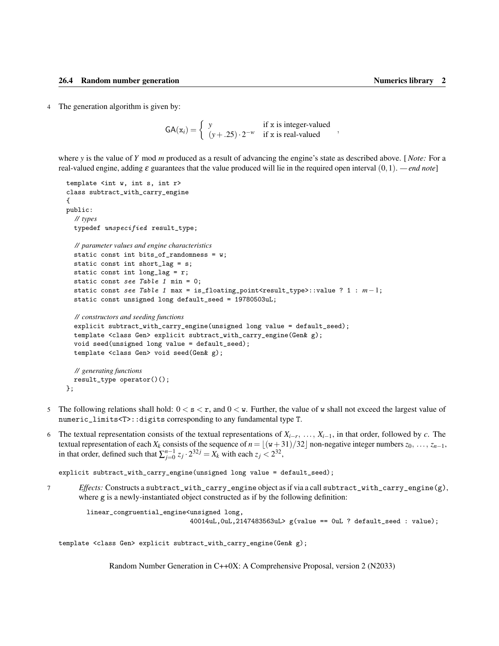<span id="page-5-0"></span>4 The generation algorithm is given by:

 $GA(x_i) = \begin{cases} y & \text{if } x \text{ is integer-valued} \\ (y + 25) & 2^{-w} \text{if } x \text{ is real valued} \end{cases}$  $(y+0.25) \cdot 2^{-w}$  if x is real-valued

where *y* is the value of *Y* mod *m* produced as a result of advancing the engine's state as described above. [*Note:* For a real-valued engine, adding ε guarantees that the value produced will lie in the required open interval (0,1). *— end note*]

```
template <int w, int s, int r>
class subtract_with_carry_engine
{
public:
  // types
  typedef unspecified result_type;
  // parameter values and engine characteristics
  static const int bits_of_randomness = w;
  static const int short_lag = s;
 static const int long_lag = r;
  static const see Table 1 min = 0;
  static const see Table 1 max = is_floating_point<result_type>::value ? 1 : m-1;
  static const unsigned long default_seed = 19780503uL;
 // constructors and seeding functions
  explicit subtract_with_carry_engine(unsigned long value = default_seed);
  template <class Gen> explicit subtract_with_carry_engine(Gen& g);
  void seed(unsigned long value = default_seed);
  template <class Gen> void seed(Gen& g);
```

```
// generating functions
  result_type operator()();
};
```
- 5 The following relations shall hold:  $0 < s < r$ , and  $0 < w$ . Further, the value of w shall not exceed the largest value of numeric\_limits<T>::digits corresponding to any fundamental type T.
- 6 The textual representation consists of the textual representations of *Xi*−*<sup>r</sup>* , ..., *Xi*−1, in that order, followed by *c*. The textual representation of each  $X_k$  consists of the sequence of  $n = \lfloor (w+31)/32 \rfloor$  non-negative integer numbers  $z_0, \ldots, z_{n-1}$ , in that order, defined such that  $\sum_{j=0}^{n-1} z_j \cdot 2^{32j} = X_k$  with each  $z_j < 2^{32}$ ,

explicit subtract\_with\_carry\_engine(unsigned long value = default\_seed);

7 *Effects:* Constructs a subtract\_with\_carry\_engine object as if via a call subtract\_with\_carry\_engine(g), where g is a newly-instantiated object constructed as if by the following definition:

```
linear_congruential_engine<unsigned long,
                           40014uL,0uL,2147483563uL> g(value == 0uL ? default_seed : value);
```
template <class Gen> explicit subtract\_with\_carry\_engine(Gen& g);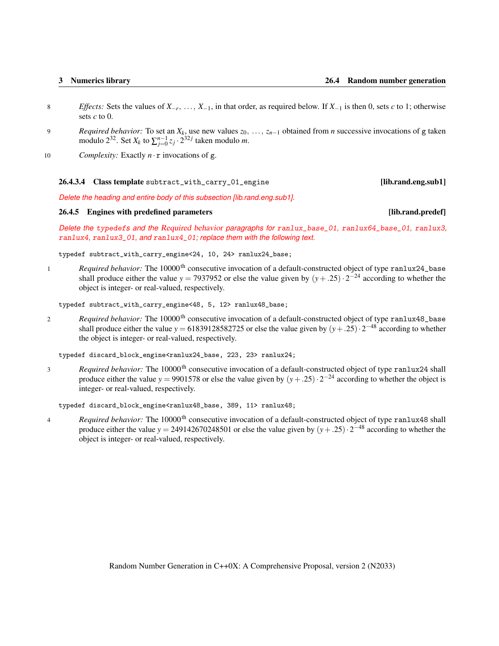- <span id="page-6-2"></span>8 *Effects:* Sets the values of *X*−*<sup>r</sup>* , ..., *X*−1, in that order, as required below. If *X*−<sup>1</sup> is then 0, sets *c* to 1; otherwise sets *c* to 0.
- 9 *Required behavior:* To set an *X<sup>k</sup>* , use new values *z*0, ..., *zn*−<sup>1</sup> obtained from *n* successive invocations of g taken modulo 2<sup>32</sup>. Set  $X_k$  to  $\sum_{j=0}^{n-1} z_j \cdot 2^{32j}$  taken modulo *m*.
- 10 *Complexity:* Exactly  $n \cdot r$  invocations of g.

### <span id="page-6-0"></span>26.4.3.4 Class template subtract\_with\_carry\_01\_engine [lib.rand.eng.sub1]

*Delete the heading and entire body of this subsection [lib.rand.eng.sub1].*

### <span id="page-6-1"></span>26.4.5 Engines with predefined parameters **and the contract of the contract of the contract of the contract of the contract of the contract of the contract of the contract of the contract of the contract of the contract of**

*Delete the* typedef*s and the* Required behavior *paragraphs for* ranlux\_base\_01*,* ranlux64\_base\_01*,* ranlux3*,* ranlux4*,* ranlux3\_01*, and* ranlux4\_01*; replace them with the following text.*

typedef subtract\_with\_carry\_engine<24, 10, 24> ranlux24\_base;

1 *Required behavior:* The 10000<sup>th</sup> consecutive invocation of a default-constructed object of type ranlux24\_base shall produce either the value *y* = 7937952 or else the value given by  $(y + .25) \cdot 2^{-24}$  according to whether the object is integer- or real-valued, respectively.

typedef subtract\_with\_carry\_engine<48, 5, 12> ranlux48\_base;

2 *Required behavior:* The 10000<sup>th</sup> consecutive invocation of a default-constructed object of type ranlux48\_base shall produce either the value  $y = 61839128582725$  or else the value given by  $(y+.25) \cdot 2^{-48}$  according to whether the object is integer- or real-valued, respectively.

typedef discard\_block\_engine<ranlux24\_base, 223, 23> ranlux24;

3 *Required behavior:* The 10000<sup>th</sup> consecutive invocation of a default-constructed object of type ranlux24 shall produce either the value *y* = 9901578 or else the value given by  $(y + .25) \cdot 2^{-24}$  according to whether the object is integer- or real-valued, respectively.

typedef discard\_block\_engine<ranlux48\_base, 389, 11> ranlux48;

4 *Required behavior:* The 10000<sup>th</sup> consecutive invocation of a default-constructed object of type ranlux48 shall produce either the value *y* = 249142670248501 or else the value given by  $(y + .25) \cdot 2^{-48}$  according to whether the object is integer- or real-valued, respectively.